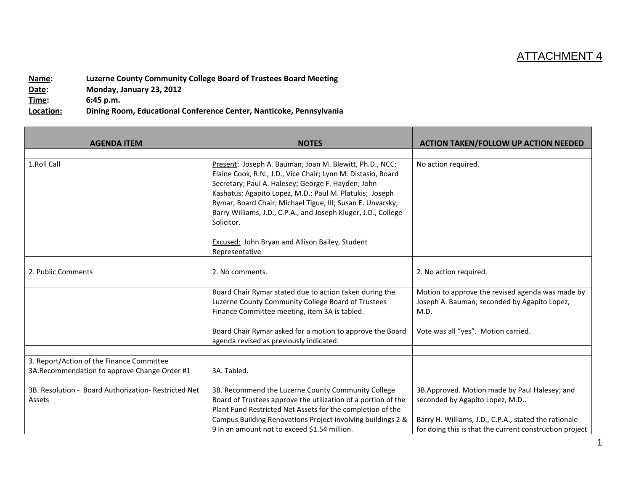## ATTACHMENT 4

**Name: Luzerne County Community College Board of Trustees Board Meeting Date: Monday, January 23, 2012 Time: 6:45 p.m.**

**Location: Dining Room, Educational Conference Center, Nanticoke, Pennsylvania**

| <b>AGENDA ITEM</b>                                                                         | <b>NOTES</b>                                                                                                                                                                                                                                                                                                                                                                           | <b>ACTION TAKEN/FOLLOW UP ACTION NEEDED</b>                                                                                                                                                         |
|--------------------------------------------------------------------------------------------|----------------------------------------------------------------------------------------------------------------------------------------------------------------------------------------------------------------------------------------------------------------------------------------------------------------------------------------------------------------------------------------|-----------------------------------------------------------------------------------------------------------------------------------------------------------------------------------------------------|
|                                                                                            |                                                                                                                                                                                                                                                                                                                                                                                        |                                                                                                                                                                                                     |
| 1.Roll Call                                                                                | Present: Joseph A. Bauman; Joan M. Blewitt, Ph.D., NCC;<br>Elaine Cook, R.N., J.D., Vice Chair; Lynn M. Distasio, Board<br>Secretary; Paul A. Halesey; George F. Hayden; John<br>Kashatus; Agapito Lopez, M.D.; Paul M. Platukis; Joseph<br>Rymar, Board Chair; Michael Tigue, III; Susan E. Unvarsky;<br>Barry Williams, J.D., C.P.A., and Joseph Kluger, J.D., College<br>Solicitor. | No action required.                                                                                                                                                                                 |
|                                                                                            | Excused: John Bryan and Allison Bailey, Student<br>Representative                                                                                                                                                                                                                                                                                                                      |                                                                                                                                                                                                     |
|                                                                                            |                                                                                                                                                                                                                                                                                                                                                                                        |                                                                                                                                                                                                     |
| 2. Public Comments                                                                         | 2. No comments.                                                                                                                                                                                                                                                                                                                                                                        | 2. No action required.                                                                                                                                                                              |
|                                                                                            | Board Chair Rymar stated due to action taken during the<br>Luzerne County Community College Board of Trustees<br>Finance Committee meeting, item 3A is tabled.<br>Board Chair Rymar asked for a motion to approve the Board                                                                                                                                                            | Motion to approve the revised agenda was made by<br>Joseph A. Bauman; seconded by Agapito Lopez,<br>M.D.<br>Vote was all "yes". Motion carried.                                                     |
|                                                                                            | agenda revised as previously indicated.                                                                                                                                                                                                                                                                                                                                                |                                                                                                                                                                                                     |
|                                                                                            |                                                                                                                                                                                                                                                                                                                                                                                        |                                                                                                                                                                                                     |
| 3. Report/Action of the Finance Committee<br>3A. Recommendation to approve Change Order #1 | 3A. Tabled.                                                                                                                                                                                                                                                                                                                                                                            |                                                                                                                                                                                                     |
| 3B. Resolution - Board Authorization- Restricted Net<br>Assets                             | 3B. Recommend the Luzerne County Community College<br>Board of Trustees approve the utilization of a portion of the<br>Plant Fund Restricted Net Assets for the completion of the<br>Campus Building Renovations Project involving buildings 2 &<br>9 in an amount not to exceed \$1.54 million.                                                                                       | 3B.Approved. Motion made by Paul Halesey; and<br>seconded by Agapito Lopez, M.D<br>Barry H. Williams, J.D., C.P.A., stated the rationale<br>for doing this is that the current construction project |